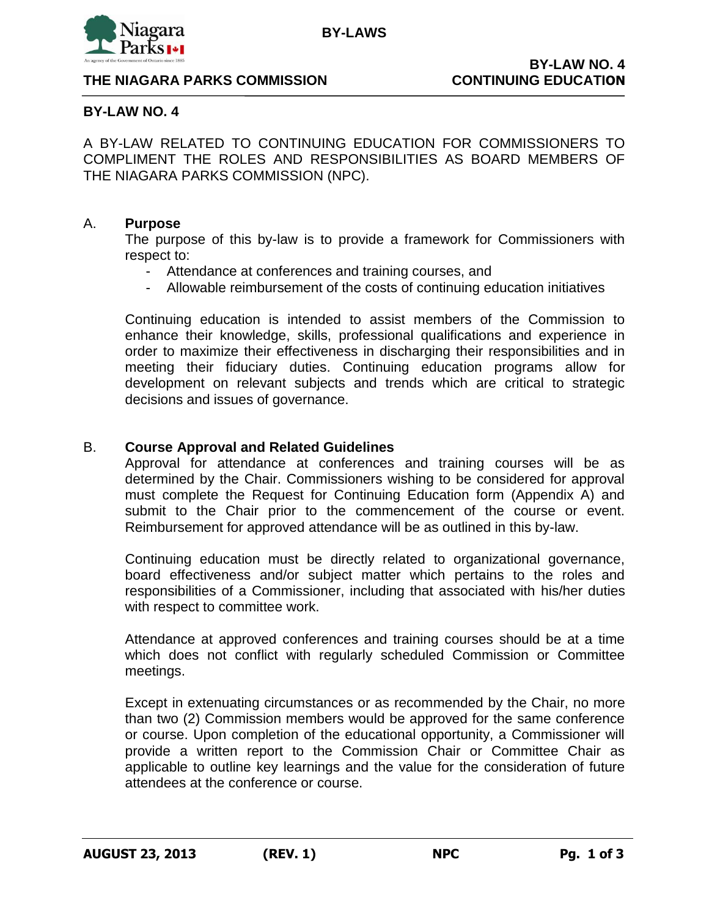

**BY-LAWS** 

### **BY-LAW NO. 4**

A BY-LAW RELATED TO CONTINUING EDUCATION FOR COMMISSIONERS TO COMPLIMENT THE ROLES AND RESPONSIBILITIES AS BOARD MEMBERS OF THE NIAGARA PARKS COMMISSION (NPC).

#### A. **Purpose**

The purpose of this by-law is to provide a framework for Commissioners with respect to:

- Attendance at conferences and training courses, and
- Allowable reimbursement of the costs of continuing education initiatives

Continuing education is intended to assist members of the Commission to enhance their knowledge, skills, professional qualifications and experience in order to maximize their effectiveness in discharging their responsibilities and in meeting their fiduciary duties. Continuing education programs allow for development on relevant subjects and trends which are critical to strategic decisions and issues of governance.

### B. **Course Approval and Related Guidelines**

Approval for attendance at conferences and training courses will be as determined by the Chair. Commissioners wishing to be considered for approval must complete the Request for Continuing Education form (Appendix A) and submit to the Chair prior to the commencement of the course or event. Reimbursement for approved attendance will be as outlined in this by-law.

Continuing education must be directly related to organizational governance, board effectiveness and/or subject matter which pertains to the roles and responsibilities of a Commissioner, including that associated with his/her duties with respect to committee work.

Attendance at approved conferences and training courses should be at a time which does not conflict with regularly scheduled Commission or Committee meetings.

Except in extenuating circumstances or as recommended by the Chair, no more than two (2) Commission members would be approved for the same conference or course. Upon completion of the educational opportunity, a Commissioner will provide a written report to the Commission Chair or Committee Chair as applicable to outline key learnings and the value for the consideration of future attendees at the conference or course.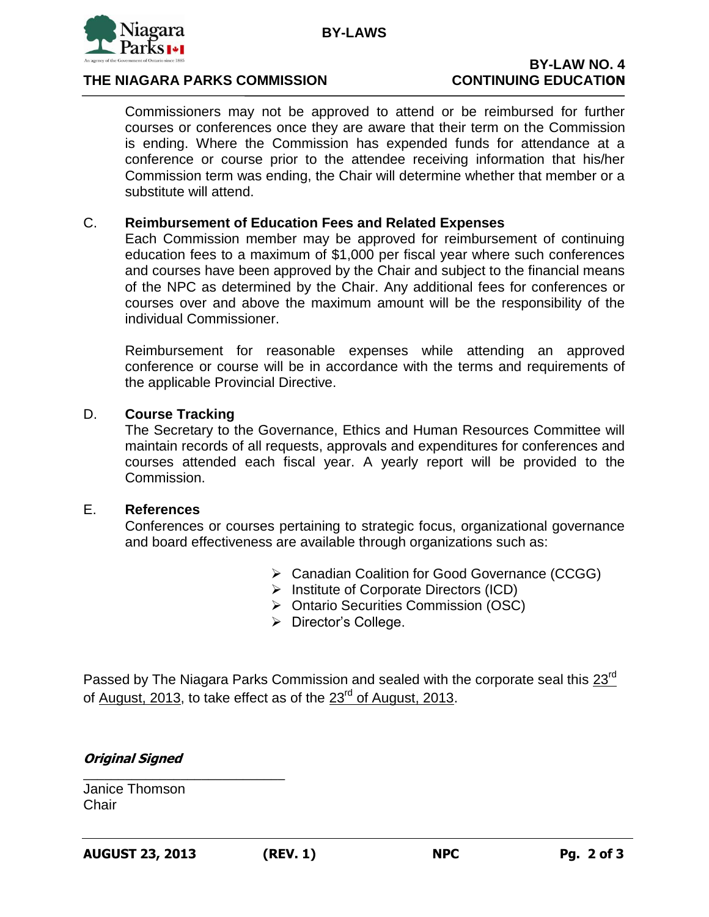

## **THE NIAGARA PARKS COMMISSION CONTINUING EDUCATION**

Commissioners may not be approved to attend or be reimbursed for further courses or conferences once they are aware that their term on the Commission is ending. Where the Commission has expended funds for attendance at a conference or course prior to the attendee receiving information that his/her Commission term was ending, the Chair will determine whether that member or a substitute will attend.

## C. **Reimbursement of Education Fees and Related Expenses**

Each Commission member may be approved for reimbursement of continuing education fees to a maximum of \$1,000 per fiscal year where such conferences and courses have been approved by the Chair and subject to the financial means of the NPC as determined by the Chair. Any additional fees for conferences or courses over and above the maximum amount will be the responsibility of the individual Commissioner.

Reimbursement for reasonable expenses while attending an approved conference or course will be in accordance with the terms and requirements of the applicable Provincial Directive.

### D. **Course Tracking**

The Secretary to the Governance, Ethics and Human Resources Committee will maintain records of all requests, approvals and expenditures for conferences and courses attended each fiscal year. A yearly report will be provided to the Commission.

#### E. **References**

Conferences or courses pertaining to strategic focus, organizational governance and board effectiveness are available through organizations such as:

- Canadian Coalition for Good Governance (CCGG)
- $\triangleright$  Institute of Corporate Directors (ICD)
- ▶ Ontario Securities Commission (OSC)
- > Director's College.

Passed by The Niagara Parks Commission and sealed with the corporate seal this 23<sup>rd</sup> of August, 2013, to take effect as of the 23<sup>rd</sup> of August, 2013.

## **Original Signed**

\_\_\_\_\_\_\_\_\_\_\_\_\_\_\_\_\_\_\_\_\_\_\_\_\_\_\_\_\_

Janice Thomson **Chair**